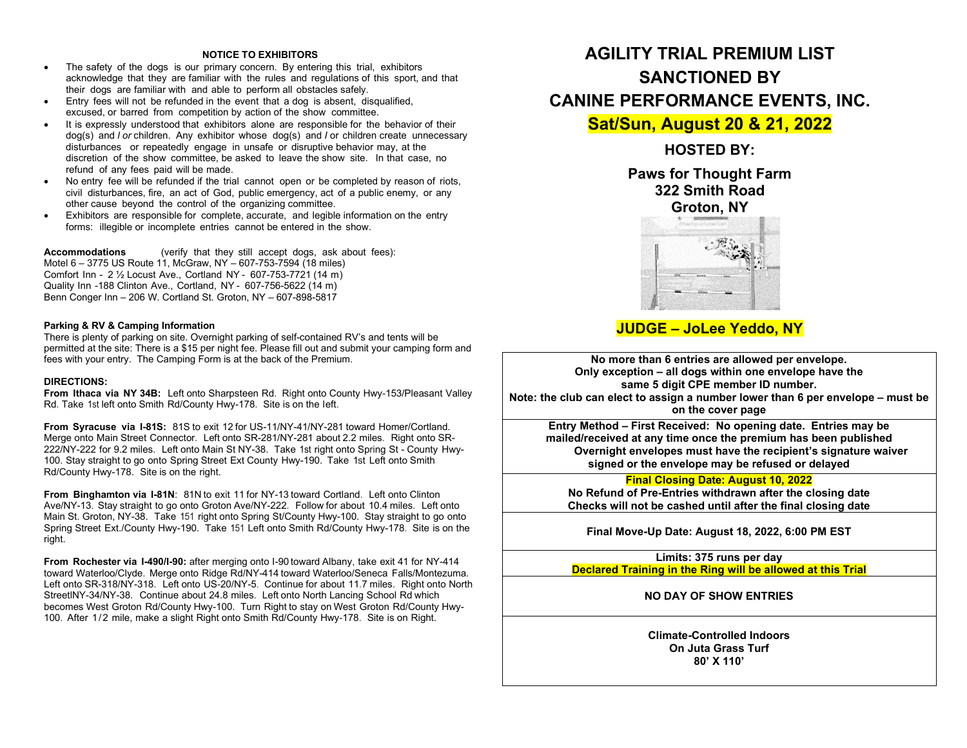#### **NOTICE TO EXHIBITORS**

- The safety of the dogs is our primary concern. By entering this trial, exhibitors acknowledge that they are familiar with the rules and regulations of this sport, and that their dogs are familiar with and able to perform all obstacles safely.
- Entry fees will not be refunded in the event that a dog is absent, disqualified, excused, or barred from competition by action of the show committee.
- It is expressly understood that exhibitors alone are responsible for the behavior of their dog(s) and *l or* children. Any exhibitor whose dog(s) and *I* or children create unnecessary disturbances or repeatedly engage in unsafe or disruptive behavior may, at the discretion of the show committee, be asked to leave the show site. In that case, no refund of any fees paid will be made.
- No entry fee will be refunded if the trial cannot open or be completed by reason of riots, civil disturbances, fire, an act of God, public emergency, act of a public enemy, or any other cause beyond the control of the organizing committee.
- Exhibitors are responsible for complete, accurate, and legible information on the entry forms: illegible or incomplete entries cannot be entered in the show.

**Accommodations** (verify that they still accept dogs, ask about fees): Motel 6 – 3775 US Route 11, McGraw, NY – 607-753-7594 (18 miles) Comfort Inn - 2 ½ Locust Ave., Cortland NY - 607-753-7721 (14 m) Quality Inn -188 Clinton Ave., Cortland, NY - 607-756-5622 (14 m) Benn Conger Inn – 206 W. Cortland St. Groton, NY – 607-898-5817

#### **Parking & RV & Camping Information**

There is plenty of parking on site. Overnight parking of self-contained RV's and tents will be permitted at the site: There is a \$15 per night fee. Please fill out and submit your camping form and fees with your entry. The Camping Form is at the back of the Premium.

#### **DIRECTIONS:**

**From Ithaca via NY 34B:** Left onto Sharpsteen Rd. Right onto County Hwy-153/Pleasant Valley Rd. Take 1st left onto Smith Rd/County Hwy-178. Site is on the left.

**From Syracuse via I-81S:** 81S to exit 12 for US-11/NY-41/NY-281 toward Homer/Cortland. Merge onto Main Street Connector. Left onto SR-281/NY-281 about 2.2 miles. Right onto SR-222/NY-222 for 9.2 miles. Left onto Main St NY-38. Take 1st right onto Spring St - County Hwy-100. Stay straight to go onto Spring Street Ext County Hwy-190. Take 1st Left onto Smith Rd/County Hwy-178. Site is on the right.

**From Binghamton via I-81N**: 81N to exit 11 for NY-13 toward Cortland. Left onto Clinton Ave/NY-13. Stay straight to go onto Groton Ave/NY-222. Follow for about 10.4 miles. Left onto Main St. Groton, NY-38. Take 151 right onto Spring St/County Hwy-100. Stay straight to go onto Spring Street Ext./County Hwy-190. Take 151 Left onto Smith Rd/County Hwy-178. Site is on the right.

**From Rochester via I-490/I-90:** after merging onto I-90 toward Albany, take exit 41 for NY-414 toward Waterloo/Clyde. Merge onto Ridge Rd/NY-414 toward Waterloo/Seneca Falls/Montezuma. Left onto SR-318/NY-318. Left onto US-20/NY-5. Continue for about 11.7 miles. Right onto North StreetlNY-34/NY-38. Continue about 24.8 miles. Left onto North Lancing School Rd which becomes West Groton Rd/County Hwy-100. Turn Right to stay on West Groton Rd/County Hwy-100. After 1/2 mile, make a slight Right onto Smith Rd/County Hwy-178. Site is on Right.

# **AGILITY TRIAL PREMIUM LIST SANCTIONED BY CANINE PERFORMANCE EVENTS, INC.**

**Sat/Sun, August 20 & 21, 2022** 

**HOSTED BY:**

**Paws for Thought Farm 322 Smith Road Groton, NY**



# **JUDGE – JoLee Yeddo, NY**

**No more than 6 entries are allowed per envelope. Only exception – all dogs within one envelope have the same 5 digit CPE member ID number. Note: the club can elect to assign a number lower than 6 per envelope – must be on the cover page**

**Entry Method – First Received: No opening date. Entries may be mailed/received at any time once the premium has been published Overnight envelopes must have the recipient's signature waiver signed or the envelope may be refused or delayed**

#### **Final Closing Date: August 10, 2022**

**No Refund of Pre-Entries withdrawn after the closing date Checks will not be cashed until after the final closing date**

**Final Move-Up Date: August 18, 2022, 6:00 PM EST** 

**Limits: 375 runs per day Declared Training in the Ring will be allowed at this Trial**

**NO DAY OF SHOW ENTRIES** 

**Climate-Controlled Indoors On Juta Grass Turf 80' X 110'**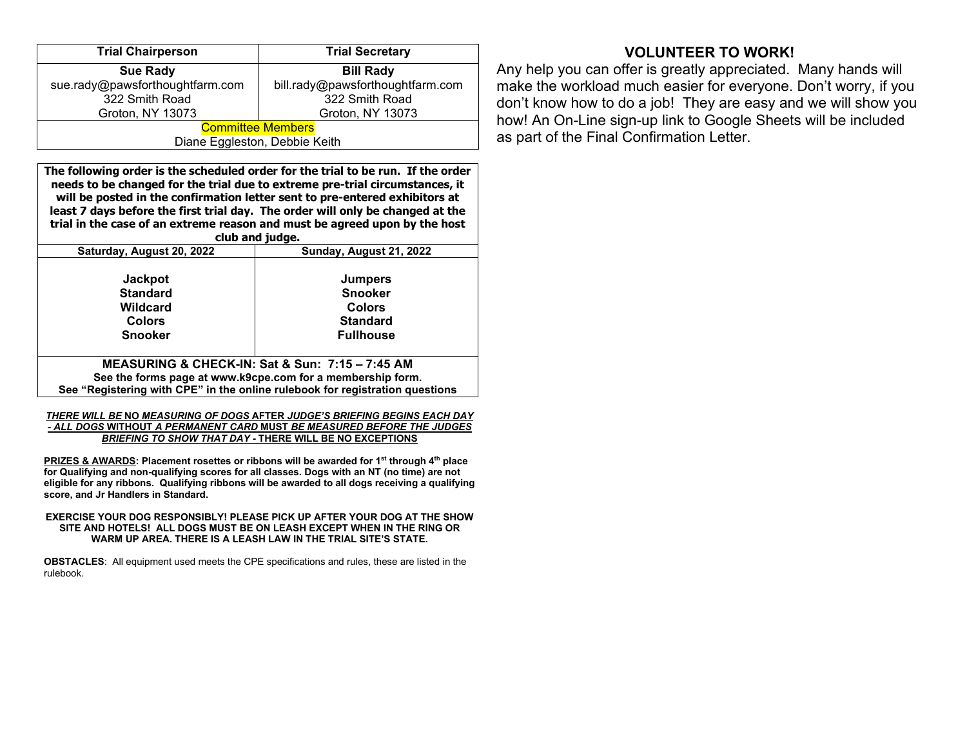| <b>Trial Chairperson</b>        | <b>Trial Secretary</b>           |  |  |  |  |  |
|---------------------------------|----------------------------------|--|--|--|--|--|
| <b>Sue Rady</b>                 | <b>Bill Rady</b>                 |  |  |  |  |  |
| sue.rady@pawsforthoughtfarm.com | bill.rady@pawsforthoughtfarm.com |  |  |  |  |  |
| 322 Smith Road                  | 322 Smith Road                   |  |  |  |  |  |
| Groton, NY 13073                | Groton, NY 13073                 |  |  |  |  |  |
| <b>Committee Members</b>        |                                  |  |  |  |  |  |
| Diane Eggleston, Debbie Keith   |                                  |  |  |  |  |  |

**The following order is the scheduled order for the trial to be run. If the order needs to be changed for the trial due to extreme pre-trial circumstances, it will be posted in the confirmation letter sent to pre-entered exhibitors at least 7 days before the first trial day. The order will only be changed at the trial in the case of an extreme reason and must be agreed upon by the host** 

| club and judge.                                                              |                                                 |  |  |  |  |  |
|------------------------------------------------------------------------------|-------------------------------------------------|--|--|--|--|--|
| Saturday, August 20, 2022                                                    | Sunday, August 21, 2022                         |  |  |  |  |  |
|                                                                              |                                                 |  |  |  |  |  |
| <b>Jackpot</b>                                                               | <b>Jumpers</b>                                  |  |  |  |  |  |
| <b>Standard</b>                                                              | <b>Snooker</b>                                  |  |  |  |  |  |
| Wildcard                                                                     | <b>Colors</b>                                   |  |  |  |  |  |
| <b>Colors</b>                                                                | <b>Standard</b>                                 |  |  |  |  |  |
| <b>Snooker</b>                                                               | <b>Fullhouse</b>                                |  |  |  |  |  |
|                                                                              |                                                 |  |  |  |  |  |
|                                                                              | MEASURING & CHECK-IN: Sat & Sun: 7:15 - 7:45 AM |  |  |  |  |  |
| See the forms page at www.k9cpe.com for a membership form.                   |                                                 |  |  |  |  |  |
| See "Registering with CPE" in the online rulebook for registration questions |                                                 |  |  |  |  |  |

#### *THERE WILL BE* **NO** *MEASURING OF DOGS* **AFTER** *JUDGE'S BRIEFING BEGINS EACH DAY - ALL DOGS* **WITHOUT** *A PERMANENT CARD* **MUST** *BE MEASURED BEFORE THE JUDGES BRIEFING TO SHOW THAT DAY -* **THERE WILL BE NO EXCEPTIONS**

**PRIZES & AWARDS: Placement rosettes or ribbons will be awarded for 1st through 4th place for Qualifying and non-qualifying scores for all classes. Dogs with an NT (no time) are not eligible for any ribbons. Qualifying ribbons will be awarded to all dogs receiving a qualifying score, and Jr Handlers in Standard.**

#### **EXERCISE YOUR DOG RESPONSIBLY! PLEASE PICK UP AFTER YOUR DOG AT THE SHOW SITE AND HOTELS! ALL DOGS MUST BE ON LEASH EXCEPT WHEN IN THE RING OR WARM UP AREA. THERE IS A LEASH LAW IN THE TRIAL SITE'S STATE.**

**OBSTACLES**: All equipment used meets the CPE specifications and rules, these are listed in the rulebook.

# **VOLUNTEER TO WORK!**

Any help you can offer is greatly appreciated. Many hands will make the workload much easier for everyone. Don't worry, if you don't know how to do a job! They are easy and we will show you how! An On-Line sign-up link to Google Sheets will be included as part of the Final Confirmation Letter.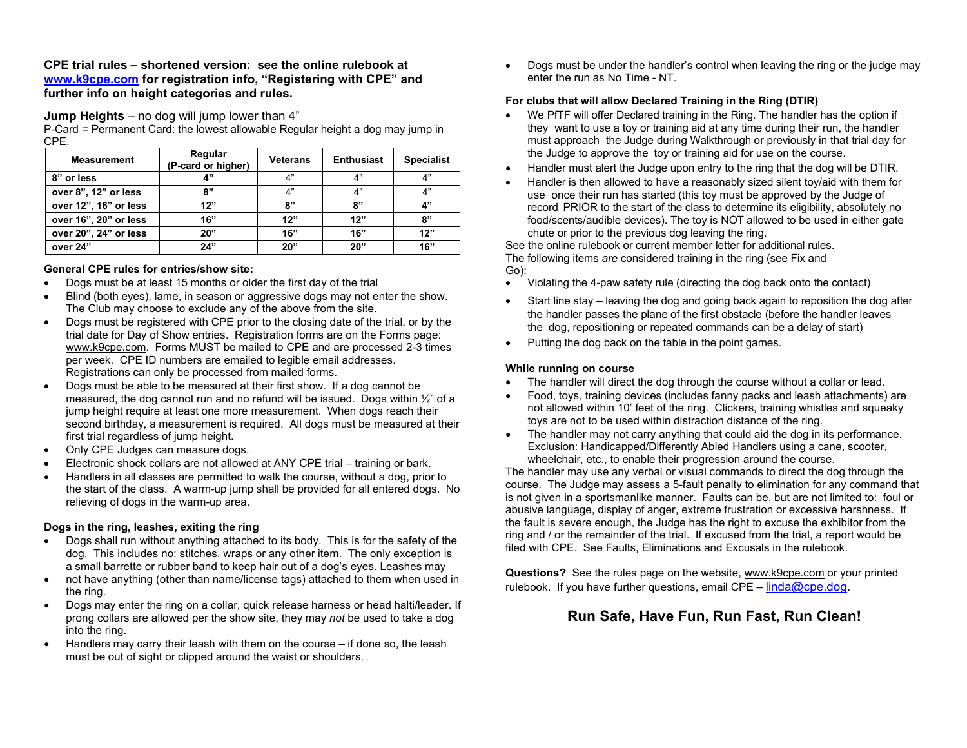## **CPE trial rules – shortened version: see the online rulebook at [www.k9cpe.com](http://www.k9cpe.com/) for registration info, "Registering with CPE" and further info on height categories and rules.**

**Jump Heights** – no dog will jump lower than 4"

P-Card = Permanent Card: the lowest allowable Regular height a dog may jump in CPE.

| <b>Measurement</b>    | Regular<br>(P-card or higher) | <b>Veterans</b> | <b>Enthusiast</b> | <b>Specialist</b> |
|-----------------------|-------------------------------|-----------------|-------------------|-------------------|
| 8" or less            | 4"                            | 4"              | 4"                | 4"                |
| over 8", 12" or less  | ጸ"                            | 4"              | 4"                | 4"                |
| over 12", 16" or less | 12"                           | 8"              | 8"                | 4"                |
| over 16", 20" or less | 16"                           | 12"             | 12"               | 8"                |
| over 20", 24" or less | 20"                           | 16"             | 16"               | 12"               |
| over 24"              | 24"                           | 20"             | 20"               | 16"               |

## **General CPE rules for entries/show site:**

- Dogs must be at least 15 months or older the first day of the trial
- Blind (both eyes), lame, in season or aggressive dogs may not enter the show. The Club may choose to exclude any of the above from the site.
- Dogs must be registered with CPE prior to the closing date of the trial, or by the trial date for Day of Show entries. Registration forms are on the Forms page: [www.k9cpe.com.](http://www.k9cpe.com/) Forms MUST be mailed to CPE and are processed 2-3 times per week. CPE ID numbers are emailed to legible email addresses. Registrations can only be processed from mailed forms.
- Dogs must be able to be measured at their first show. If a dog cannot be measured, the dog cannot run and no refund will be issued. Dogs within ½" of a jump height require at least one more measurement. When dogs reach their second birthday, a measurement is required. All dogs must be measured at their first trial regardless of jump height.
- Only CPE Judges can measure dogs.
- Electronic shock collars are not allowed at ANY CPE trial training or bark.
- Handlers in all classes are permitted to walk the course, without a dog, prior to the start of the class. A warm-up jump shall be provided for all entered dogs. No relieving of dogs in the warm-up area.

### **Dogs in the ring, leashes, exiting the ring**

- Dogs shall run without anything attached to its body. This is for the safety of the dog. This includes no: stitches, wraps or any other item. The only exception is a small barrette or rubber band to keep hair out of a dog's eyes. Leashes may
- not have anything (other than name/license tags) attached to them when used in the ring.
- Dogs may enter the ring on a collar, quick release harness or head halti/leader. If prong collars are allowed per the show site, they may *not* be used to take a dog into the ring.
- Handlers may carry their leash with them on the course if done so, the leash must be out of sight or clipped around the waist or shoulders.

• Dogs must be under the handler's control when leaving the ring or the judge may enter the run as No Time - NT.

## **For clubs that will allow Declared Training in the Ring (DTIR)**

- We PfTF will offer Declared training in the Ring. The handler has the option if they want to use a toy or training aid at any time during their run, the handler must approach the Judge during Walkthrough or previously in that trial day for the Judge to approve the toy or training aid for use on the course.
- Handler must alert the Judge upon entry to the ring that the dog will be DTIR.
- Handler is then allowed to have a reasonably sized silent toy/aid with them for use once their run has started (this toy must be approved by the Judge of record PRIOR to the start of the class to determine its eligibility, absolutely no food/scents/audible devices). The toy is NOT allowed to be used in either gate chute or prior to the previous dog leaving the ring.

See the online rulebook or current member letter for additional rules. The following items *are* considered training in the ring (see Fix and Go):

- Violating the 4-paw safety rule (directing the dog back onto the contact)
- Start line stay leaving the dog and going back again to reposition the dog after the handler passes the plane of the first obstacle (before the handler leaves the dog, repositioning or repeated commands can be a delay of start)
- Putting the dog back on the table in the point games.

### **While running on course**

- The handler will direct the dog through the course without a collar or lead.
- Food, toys, training devices (includes fanny packs and leash attachments) are not allowed within 10' feet of the ring. Clickers, training whistles and squeaky toys are not to be used within distraction distance of the ring.
- The handler may not carry anything that could aid the dog in its performance. Exclusion: Handicapped/Differently Abled Handlers using a cane, scooter, wheelchair, etc., to enable their progression around the course.

The handler may use any verbal or visual commands to direct the dog through the course. The Judge may assess a 5-fault penalty to elimination for any command that is not given in a sportsmanlike manner. Faults can be, but are not limited to: foul or abusive language, display of anger, extreme frustration or excessive harshness. If the fault is severe enough, the Judge has the right to excuse the exhibitor from the ring and / or the remainder of the trial. If excused from the trial, a report would be filed with CPE. See Faults, Eliminations and Excusals in the rulebook.

**Questions?** See the rules page on the website[, www.k9cpe.com](http://www.k9cpe.com/) or your printed rulebook. If you have further questions, email CPE –  $linda@cpe.dog.$ 

# **Run Safe, Have Fun, Run Fast, Run Clean!**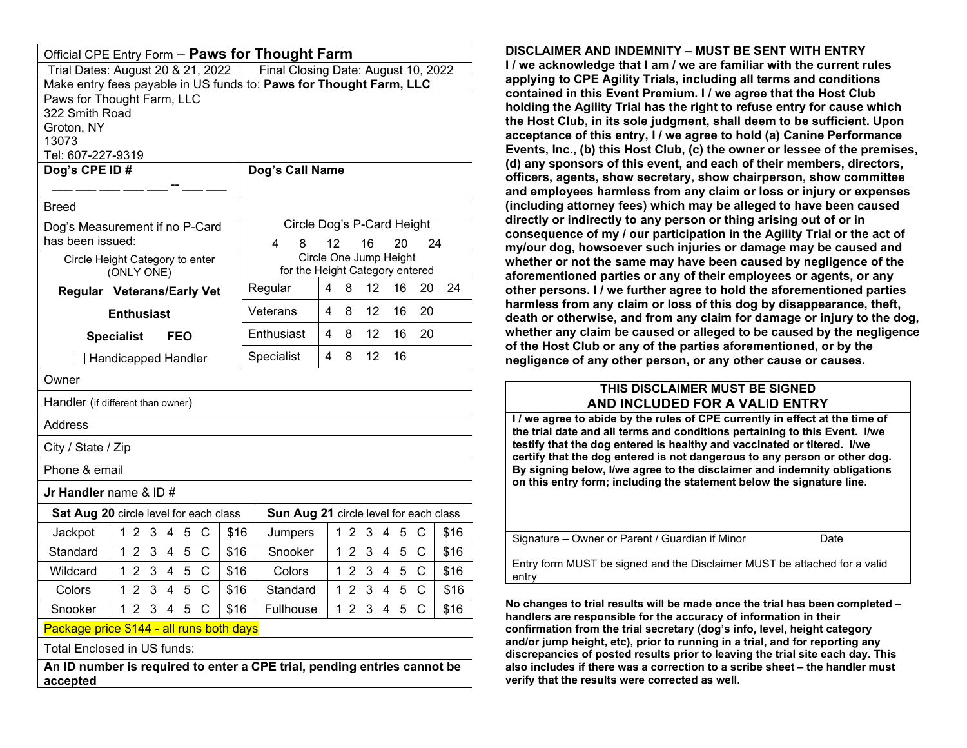| Official CPE Entry Form - Paws for Thought Farm                                  |                                                                                                          |            |                |            |                                                 |                            |      |                |    |                        |              |      |
|----------------------------------------------------------------------------------|----------------------------------------------------------------------------------------------------------|------------|----------------|------------|-------------------------------------------------|----------------------------|------|----------------|----|------------------------|--------------|------|
| Final Closing Date: August 10, 2022<br>Trial Dates: August 20 & 21, 2022         |                                                                                                          |            |                |            |                                                 |                            |      |                |    |                        |              |      |
|                                                                                  | Make entry fees payable in US funds to: Paws for Thought Farm, LLC                                       |            |                |            |                                                 |                            |      |                |    |                        |              |      |
| Paws for Thought Farm, LLC                                                       |                                                                                                          |            |                |            |                                                 |                            |      |                |    |                        |              |      |
| 322 Smith Road<br>Groton, NY                                                     |                                                                                                          |            |                |            |                                                 |                            |      |                |    |                        |              |      |
| 13073                                                                            |                                                                                                          |            |                |            |                                                 |                            |      |                |    |                        |              |      |
| Tel: 607-227-9319                                                                |                                                                                                          |            |                |            |                                                 |                            |      |                |    |                        |              |      |
| Dog's CPE ID#                                                                    |                                                                                                          |            |                |            | Dog's Call Name                                 |                            |      |                |    |                        |              |      |
|                                                                                  |                                                                                                          |            |                |            |                                                 |                            |      |                |    |                        |              |      |
| Breed                                                                            |                                                                                                          |            |                |            |                                                 |                            |      |                |    |                        |              |      |
| Dog's Measurement if no P-Card                                                   |                                                                                                          |            |                |            |                                                 | Circle Dog's P-Card Height |      |                |    |                        |              |      |
| has been issued:                                                                 |                                                                                                          |            |                |            | 4                                               | 8                          | 12   |                | 16 | 20                     |              | 24   |
|                                                                                  | Circle Height Category to enter                                                                          |            |                |            |                                                 |                            |      |                |    | Circle One Jump Height |              |      |
| <b>Regular Veterans/Early Vet</b>                                                | (ONLY ONE)                                                                                               |            |                |            | for the Height Category entered<br>4<br>Regular |                            |      | 8              | 12 | 16                     | 20           | 24   |
|                                                                                  |                                                                                                          |            |                |            |                                                 |                            | 4    | 8              | 12 | 16                     | 20           |      |
|                                                                                  | <b>Enthusiast</b>                                                                                        |            |                |            | Veterans                                        |                            |      |                |    |                        |              |      |
|                                                                                  | <b>Specialist</b>                                                                                        | <b>FEO</b> |                |            | 12<br>Enthusiast<br>4<br>8<br>16                |                            | 20   |                |    |                        |              |      |
|                                                                                  | ∃ Handicapped Handler                                                                                    |            |                | Specialist |                                                 | 4                          | 8    | 12             | 16 |                        |              |      |
| Owner                                                                            |                                                                                                          |            |                |            |                                                 |                            |      |                |    |                        |              |      |
| Handler (if different than owner)                                                |                                                                                                          |            |                |            |                                                 |                            |      |                |    |                        |              |      |
| Address                                                                          |                                                                                                          |            |                |            |                                                 |                            |      |                |    |                        |              |      |
| City / State / Zip                                                               |                                                                                                          |            |                |            |                                                 |                            |      |                |    |                        |              |      |
| Phone & email                                                                    |                                                                                                          |            |                |            |                                                 |                            |      |                |    |                        |              |      |
| <b>Jr Handler</b> name & ID $#$                                                  |                                                                                                          |            |                |            |                                                 |                            |      |                |    |                        |              |      |
| Sat Aug 20 circle level for each class<br>Sun Aug 21 circle level for each class |                                                                                                          |            |                |            |                                                 |                            |      |                |    |                        |              |      |
| Jackpot                                                                          | 1 <sub>2</sub><br>3                                                                                      | 4<br>5     | C              | \$16       |                                                 | Jumpers                    |      | 12             | 3  | 4<br>5                 | C            | \$16 |
| Standard                                                                         | 12<br>3                                                                                                  | 4<br>5     | С              | \$16       |                                                 | Snooker                    |      | $1\,2$         | -3 | 4<br>5                 | C            | \$16 |
| Wildcard                                                                         | 1 <sub>2</sub><br>3                                                                                      | 4<br>5     | $\overline{C}$ | \$16       | Colors                                          |                            |      | 1 <sub>2</sub> | 3  | $\overline{4}$<br>5    | $\mathsf{C}$ | \$16 |
| Colors                                                                           | $\overline{2}$<br>3<br>1                                                                                 | 4<br>5     | С              | \$16       | Standard                                        |                            |      | 1 <sub>2</sub> | 3  | 5<br>4                 | C            | \$16 |
| Snooker                                                                          | 1 <sub>2</sub><br>3<br>5<br>C<br>Fullhouse<br>1 <sub>2</sub><br>$\mathsf{C}$<br>4<br>\$16<br>3<br>4<br>5 |            |                |            |                                                 |                            | \$16 |                |    |                        |              |      |
| Package price \$144 - all runs both days                                         |                                                                                                          |            |                |            |                                                 |                            |      |                |    |                        |              |      |
| Total Enclosed in US funds:                                                      |                                                                                                          |            |                |            |                                                 |                            |      |                |    |                        |              |      |
| An ID number is required to enter a CPE trial, pending entries cannot be         |                                                                                                          |            |                |            |                                                 |                            |      |                |    |                        |              |      |

**accepted**

**DISCLAIMER AND INDEMNITY – MUST BE SENT WITH ENTRY I / we acknowledge that I am / we are familiar with the current rules applying to CPE Agility Trials, including all terms and conditions contained in this Event Premium. I / we agree that the Host Club holding the Agility Trial has the right to refuse entry for cause which the Host Club, in its sole judgment, shall deem to be sufficient. Upon acceptance of this entry, I / we agree to hold (a) Canine Performance Events, Inc., (b) this Host Club, (c) the owner or lessee of the premises, (d) any sponsors of this event, and each of their members, directors, officers, agents, show secretary, show chairperson, show committee and employees harmless from any claim or loss or injury or expenses (including attorney fees) which may be alleged to have been caused directly or indirectly to any person or thing arising out of or in consequence of my / our participation in the Agility Trial or the act of my/our dog, howsoever such injuries or damage may be caused and whether or not the same may have been caused by negligence of the aforementioned parties or any of their employees or agents, or any other persons. I / we further agree to hold the aforementioned parties harmless from any claim or loss of this dog by disappearance, theft, death or otherwise, and from any claim for damage or injury to the dog, whether any claim be caused or alleged to be caused by the negligence of the Host Club or any of the parties aforementioned, or by the negligence of any other person, or any other cause or causes.**

# **THIS DISCLAIMER MUST BE SIGNED AND INCLUDED FOR A VALID ENTRY**

**I / we agree to abide by the rules of CPE currently in effect at the time of the trial date and all terms and conditions pertaining to this Event. I/we testify that the dog entered is healthy and vaccinated or titered. I/we certify that the dog entered is not dangerous to any person or other dog. By signing below, I/we agree to the disclaimer and indemnity obligations on this entry form; including the statement below the signature line.**

Signature – Owner or Parent / Guardian if Minor Date

Entry form MUST be signed and the Disclaimer MUST be attached for a valid entry

**No changes to trial results will be made once the trial has been completed – handlers are responsible for the accuracy of information in their confirmation from the trial secretary (dog's info, level, height category and/or jump height, etc), prior to running in a trial, and for reporting any discrepancies of posted results prior to leaving the trial site each day. This also includes if there was a correction to a scribe sheet – the handler must verify that the results were corrected as well.**